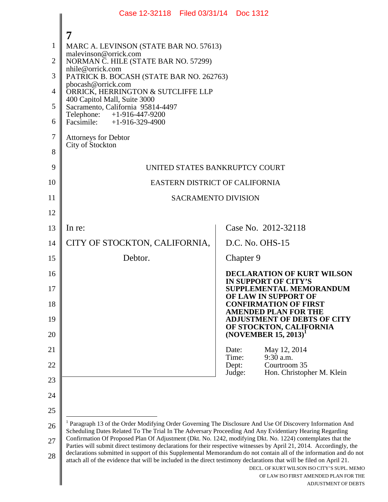|                | Case 12-32118 Filed 03/31/14 Doc 1312                                                                                                                                                                                                                                                                                                                                                                                                                                                                                                                                                                                                                                                                                                                                                                                              |                                                                  |  |
|----------------|------------------------------------------------------------------------------------------------------------------------------------------------------------------------------------------------------------------------------------------------------------------------------------------------------------------------------------------------------------------------------------------------------------------------------------------------------------------------------------------------------------------------------------------------------------------------------------------------------------------------------------------------------------------------------------------------------------------------------------------------------------------------------------------------------------------------------------|------------------------------------------------------------------|--|
|                | 7                                                                                                                                                                                                                                                                                                                                                                                                                                                                                                                                                                                                                                                                                                                                                                                                                                  |                                                                  |  |
| 1              | MARC A. LEVINSON (STATE BAR NO. 57613)<br>malevinson@orrick.com                                                                                                                                                                                                                                                                                                                                                                                                                                                                                                                                                                                                                                                                                                                                                                    |                                                                  |  |
| 2              | NORMAN C. HILE (STATE BAR NO. 57299)<br>nhile@orrick.com                                                                                                                                                                                                                                                                                                                                                                                                                                                                                                                                                                                                                                                                                                                                                                           |                                                                  |  |
| 3              | PATRICK B. BOCASH (STATE BAR NO. 262763)<br>pbocash@orrick.com                                                                                                                                                                                                                                                                                                                                                                                                                                                                                                                                                                                                                                                                                                                                                                     |                                                                  |  |
| $\overline{4}$ | ORRICK, HERRINGTON & SUTCLIFFE LLP<br>400 Capitol Mall, Suite 3000                                                                                                                                                                                                                                                                                                                                                                                                                                                                                                                                                                                                                                                                                                                                                                 |                                                                  |  |
| 5              | Sacramento, California 95814-4497<br>Telephone: $+1-916-447-9200$                                                                                                                                                                                                                                                                                                                                                                                                                                                                                                                                                                                                                                                                                                                                                                  |                                                                  |  |
| 6              | Facsimile: $+1-916-329-4900$                                                                                                                                                                                                                                                                                                                                                                                                                                                                                                                                                                                                                                                                                                                                                                                                       |                                                                  |  |
| $\tau$         | <b>Attorneys for Debtor</b><br>City of Stockton                                                                                                                                                                                                                                                                                                                                                                                                                                                                                                                                                                                                                                                                                                                                                                                    |                                                                  |  |
| 8              |                                                                                                                                                                                                                                                                                                                                                                                                                                                                                                                                                                                                                                                                                                                                                                                                                                    |                                                                  |  |
| 9              | UNITED STATES BANKRUPTCY COURT                                                                                                                                                                                                                                                                                                                                                                                                                                                                                                                                                                                                                                                                                                                                                                                                     |                                                                  |  |
| 10             | EASTERN DISTRICT OF CALIFORNIA                                                                                                                                                                                                                                                                                                                                                                                                                                                                                                                                                                                                                                                                                                                                                                                                     |                                                                  |  |
| 11             | <b>SACRAMENTO DIVISION</b>                                                                                                                                                                                                                                                                                                                                                                                                                                                                                                                                                                                                                                                                                                                                                                                                         |                                                                  |  |
| 12             |                                                                                                                                                                                                                                                                                                                                                                                                                                                                                                                                                                                                                                                                                                                                                                                                                                    |                                                                  |  |
| 13             | In re:                                                                                                                                                                                                                                                                                                                                                                                                                                                                                                                                                                                                                                                                                                                                                                                                                             | Case No. 2012-32118                                              |  |
| 14             | CITY OF STOCKTON, CALIFORNIA,                                                                                                                                                                                                                                                                                                                                                                                                                                                                                                                                                                                                                                                                                                                                                                                                      | D.C. No. OHS-15                                                  |  |
| 15             | Debtor.                                                                                                                                                                                                                                                                                                                                                                                                                                                                                                                                                                                                                                                                                                                                                                                                                            | Chapter 9                                                        |  |
| 16             |                                                                                                                                                                                                                                                                                                                                                                                                                                                                                                                                                                                                                                                                                                                                                                                                                                    | <b>DECLARATION OF KURT WILSON</b><br><b>IN SUPPORT OF CITY'S</b> |  |
| 17             |                                                                                                                                                                                                                                                                                                                                                                                                                                                                                                                                                                                                                                                                                                                                                                                                                                    | SUPPLEMENTAL MEMORANDUM<br>OF LAW IN SUPPORT OF                  |  |
| 18             |                                                                                                                                                                                                                                                                                                                                                                                                                                                                                                                                                                                                                                                                                                                                                                                                                                    | <b>CONFIRMATION OF FIRST</b><br><b>AMENDED PLAN FOR THE</b>      |  |
| 19             |                                                                                                                                                                                                                                                                                                                                                                                                                                                                                                                                                                                                                                                                                                                                                                                                                                    | <b>ADJUSTMENT OF DEBTS OF CITY</b><br>OF STOCKTON, CALIFORNIA    |  |
| 20             |                                                                                                                                                                                                                                                                                                                                                                                                                                                                                                                                                                                                                                                                                                                                                                                                                                    | $(NOVEMBER 15, 2013)^T$                                          |  |
| 21             |                                                                                                                                                                                                                                                                                                                                                                                                                                                                                                                                                                                                                                                                                                                                                                                                                                    | Date:<br>May 12, 2014<br>9:30 a.m.<br>Time:                      |  |
| 22             |                                                                                                                                                                                                                                                                                                                                                                                                                                                                                                                                                                                                                                                                                                                                                                                                                                    | Courtroom 35<br>Dept:<br>Judge:<br>Hon. Christopher M. Klein     |  |
| 23             |                                                                                                                                                                                                                                                                                                                                                                                                                                                                                                                                                                                                                                                                                                                                                                                                                                    |                                                                  |  |
| 24             |                                                                                                                                                                                                                                                                                                                                                                                                                                                                                                                                                                                                                                                                                                                                                                                                                                    |                                                                  |  |
| 25             |                                                                                                                                                                                                                                                                                                                                                                                                                                                                                                                                                                                                                                                                                                                                                                                                                                    |                                                                  |  |
| 26             | <sup>1</sup> Paragraph 13 of the Order Modifying Order Governing The Disclosure And Use Of Discovery Information And<br>Scheduling Dates Related To The Trial In The Adversary Proceeding And Any Evidentiary Hearing Regarding<br>Confirmation Of Proposed Plan Of Adjustment (Dkt. No. 1242, modifying Dkt. No. 1224) contemplates that the<br>Parties will submit direct testimony declarations for their respective witnesses by April 21, 2014. Accordingly, the<br>declarations submitted in support of this Supplemental Memorandum do not contain all of the information and do not<br>attach all of the evidence that will be included in the direct testimony declarations that will be filed on April 21.<br>DECL. OF KURT WILSON ISO CITY'S SUPL. MEMO<br>OF LAW ISO FIRST AMENDED PLAN FOR THE<br>ADJUSTMENT OF DEBTS |                                                                  |  |
| 27             |                                                                                                                                                                                                                                                                                                                                                                                                                                                                                                                                                                                                                                                                                                                                                                                                                                    |                                                                  |  |
| 28             |                                                                                                                                                                                                                                                                                                                                                                                                                                                                                                                                                                                                                                                                                                                                                                                                                                    |                                                                  |  |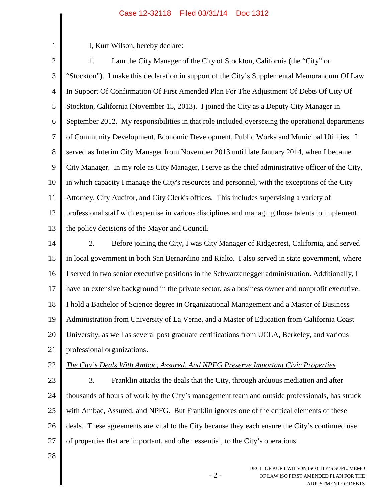I, Kurt Wilson, hereby declare:

1

2 3 4 5 6 7 8 9 10 11 12 13 14 15 16 17 18 19 20 21 22 23 24 25 26 27 28 1. I am the City Manager of the City of Stockton, California (the "City" or "Stockton"). I make this declaration in support of the City's Supplemental Memorandum Of Law In Support Of Confirmation Of First Amended Plan For The Adjustment Of Debts Of City Of Stockton, California (November 15, 2013). I joined the City as a Deputy City Manager in September 2012. My responsibilities in that role included overseeing the operational departments of Community Development, Economic Development, Public Works and Municipal Utilities. I served as Interim City Manager from November 2013 until late January 2014, when I became City Manager. In my role as City Manager, I serve as the chief administrative officer of the City, in which capacity I manage the City's resources and personnel, with the exceptions of the City Attorney, City Auditor, and City Clerk's offices. This includes supervising a variety of professional staff with expertise in various disciplines and managing those talents to implement the policy decisions of the Mayor and Council. 2. Before joining the City, I was City Manager of Ridgecrest, California, and served in local government in both San Bernardino and Rialto. I also served in state government, where I served in two senior executive positions in the Schwarzenegger administration. Additionally, I have an extensive background in the private sector, as a business owner and nonprofit executive. I hold a Bachelor of Science degree in Organizational Management and a Master of Business Administration from University of La Verne, and a Master of Education from California Coast University, as well as several post graduate certifications from UCLA, Berkeley, and various professional organizations. *The City's Deals With Ambac, Assured, And NPFG Preserve Important Civic Properties* 3. Franklin attacks the deals that the City, through arduous mediation and after thousands of hours of work by the City's management team and outside professionals, has struck with Ambac, Assured, and NPFG. But Franklin ignores one of the critical elements of these deals. These agreements are vital to the City because they each ensure the City's continued use of properties that are important, and often essential, to the City's operations.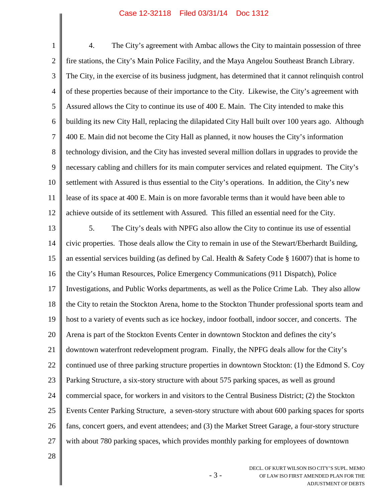1 2 3 4 5 6 7 8 9 10 11 12 13 14 15 16 17 18 19 20 21 22 23 24 25 26 4. The City's agreement with Ambac allows the City to maintain possession of three fire stations, the City's Main Police Facility, and the Maya Angelou Southeast Branch Library. The City, in the exercise of its business judgment, has determined that it cannot relinquish control of these properties because of their importance to the City. Likewise, the City's agreement with Assured allows the City to continue its use of 400 E. Main. The City intended to make this building its new City Hall, replacing the dilapidated City Hall built over 100 years ago. Although 400 E. Main did not become the City Hall as planned, it now houses the City's information technology division, and the City has invested several million dollars in upgrades to provide the necessary cabling and chillers for its main computer services and related equipment. The City's settlement with Assured is thus essential to the City's operations. In addition, the City's new lease of its space at 400 E. Main is on more favorable terms than it would have been able to achieve outside of its settlement with Assured. This filled an essential need for the City. 5. The City's deals with NPFG also allow the City to continue its use of essential civic properties. Those deals allow the City to remain in use of the Stewart/Eberhardt Building, an essential services building (as defined by Cal. Health & Safety Code § 16007) that is home to the City's Human Resources, Police Emergency Communications (911 Dispatch), Police Investigations, and Public Works departments, as well as the Police Crime Lab. They also allow the City to retain the Stockton Arena, home to the Stockton Thunder professional sports team and host to a variety of events such as ice hockey, indoor football, indoor soccer, and concerts. The Arena is part of the Stockton Events Center in downtown Stockton and defines the city's downtown waterfront redevelopment program. Finally, the NPFG deals allow for the City's continued use of three parking structure properties in downtown Stockton: (1) the Edmond S. Coy Parking Structure, a six-story structure with about 575 parking spaces, as well as ground commercial space, for workers in and visitors to the Central Business District; (2) the Stockton Events Center Parking Structure, a seven-story structure with about 600 parking spaces for sports fans, concert goers, and event attendees; and (3) the Market Street Garage, a four-story structure

27 with about 780 parking spaces, which provides monthly parking for employees of downtown

- 3 -

28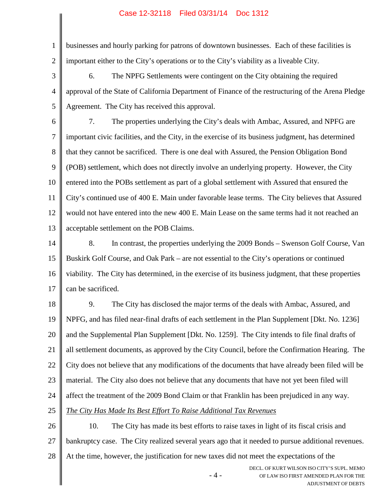1 2 businesses and hourly parking for patrons of downtown businesses. Each of these facilities is important either to the City's operations or to the City's viability as a liveable City.

3 4 5 6. The NPFG Settlements were contingent on the City obtaining the required approval of the State of California Department of Finance of the restructuring of the Arena Pledge Agreement. The City has received this approval.

6 7 8 9 10 11 12 13 7. The properties underlying the City's deals with Ambac, Assured, and NPFG are important civic facilities, and the City, in the exercise of its business judgment, has determined that they cannot be sacrificed. There is one deal with Assured, the Pension Obligation Bond (POB) settlement, which does not directly involve an underlying property. However, the City entered into the POBs settlement as part of a global settlement with Assured that ensured the City's continued use of 400 E. Main under favorable lease terms. The City believes that Assured would not have entered into the new 400 E. Main Lease on the same terms had it not reached an acceptable settlement on the POB Claims.

14 15 16 17 8. In contrast, the properties underlying the 2009 Bonds – Swenson Golf Course, Van Buskirk Golf Course, and Oak Park – are not essential to the City's operations or continued viability. The City has determined, in the exercise of its business judgment, that these properties can be sacrificed.

18 19 20 21 22 23 24 25 9. The City has disclosed the major terms of the deals with Ambac, Assured, and NPFG, and has filed near-final drafts of each settlement in the Plan Supplement [Dkt. No. 1236] and the Supplemental Plan Supplement [Dkt. No. 1259]. The City intends to file final drafts of all settlement documents, as approved by the City Council, before the Confirmation Hearing. The City does not believe that any modifications of the documents that have already been filed will be material. The City also does not believe that any documents that have not yet been filed will affect the treatment of the 2009 Bond Claim or that Franklin has been prejudiced in any way. *The City Has Made Its Best Effort To Raise Additional Tax Revenues*

26 27 28 10. The City has made its best efforts to raise taxes in light of its fiscal crisis and bankruptcy case. The City realized several years ago that it needed to pursue additional revenues. At the time, however, the justification for new taxes did not meet the expectations of the

- 4 -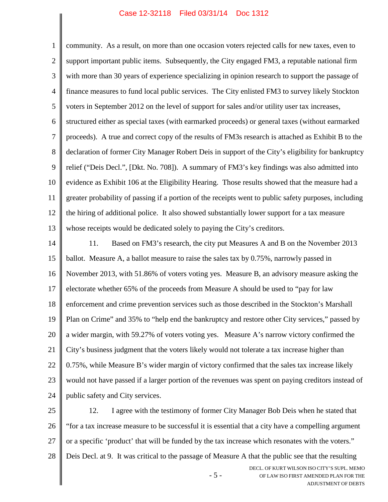1 2 3 4 5 6 7 8 9 10 11 12 13 14 15 16 17 18 19 20 21 22 23 24 25 26 community. As a result, on more than one occasion voters rejected calls for new taxes, even to support important public items. Subsequently, the City engaged FM3, a reputable national firm with more than 30 years of experience specializing in opinion research to support the passage of finance measures to fund local public services. The City enlisted FM3 to survey likely Stockton voters in September 2012 on the level of support for sales and/or utility user tax increases, structured either as special taxes (with earmarked proceeds) or general taxes (without earmarked proceeds). A true and correct copy of the results of FM3s research is attached as Exhibit B to the declaration of former City Manager Robert Deis in support of the City's eligibility for bankruptcy relief ("Deis Decl.", [Dkt. No. 708]). A summary of FM3's key findings was also admitted into evidence as Exhibit 106 at the Eligibility Hearing. Those results showed that the measure had a greater probability of passing if a portion of the receipts went to public safety purposes, including the hiring of additional police. It also showed substantially lower support for a tax measure whose receipts would be dedicated solely to paying the City's creditors. 11. Based on FM3's research, the city put Measures A and B on the November 2013 ballot. Measure A, a ballot measure to raise the sales tax by 0.75%, narrowly passed in November 2013, with 51.86% of voters voting yes. Measure B, an advisory measure asking the electorate whether 65% of the proceeds from Measure A should be used to "pay for law enforcement and crime prevention services such as those described in the Stockton's Marshall Plan on Crime" and 35% to "help end the bankruptcy and restore other City services," passed by a wider margin, with 59.27% of voters voting yes. Measure A's narrow victory confirmed the City's business judgment that the voters likely would not tolerate a tax increase higher than 0.75%, while Measure B's wider margin of victory confirmed that the sales tax increase likely would not have passed if a larger portion of the revenues was spent on paying creditors instead of public safety and City services. 12. I agree with the testimony of former City Manager Bob Deis when he stated that "for a tax increase measure to be successful it is essential that a city have a compelling argument

- 27 or a specific 'product' that will be funded by the tax increase which resonates with the voters."
- 28 Deis Decl. at 9. It was critical to the passage of Measure A that the public see that the resulting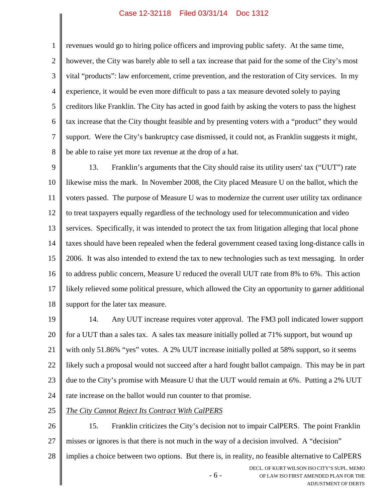1

revenues would go to hiring police officers and improving public safety. At the same time,

2 3 4 5 6 7 8 however, the City was barely able to sell a tax increase that paid for the some of the City's most vital "products": law enforcement, crime prevention, and the restoration of City services. In my experience, it would be even more difficult to pass a tax measure devoted solely to paying creditors like Franklin. The City has acted in good faith by asking the voters to pass the highest tax increase that the City thought feasible and by presenting voters with a "product" they would support. Were the City's bankruptcy case dismissed, it could not, as Franklin suggests it might, be able to raise yet more tax revenue at the drop of a hat.

9 10 11 12 13 14 15 16 17 18 13. Franklin's arguments that the City should raise its utility users' tax ("UUT") rate likewise miss the mark. In November 2008, the City placed Measure U on the ballot, which the voters passed. The purpose of Measure U was to modernize the current user utility tax ordinance to treat taxpayers equally regardless of the technology used for telecommunication and video services. Specifically, it was intended to protect the tax from litigation alleging that local phone taxes should have been repealed when the federal government ceased taxing long-distance calls in 2006. It was also intended to extend the tax to new technologies such as text messaging. In order to address public concern, Measure U reduced the overall UUT rate from 8% to 6%. This action likely relieved some political pressure, which allowed the City an opportunity to garner additional support for the later tax measure.

19 20 21 22 23 24 14. Any UUT increase requires voter approval. The FM3 poll indicated lower support for a UUT than a sales tax. A sales tax measure initially polled at 71% support, but wound up with only 51.86% "yes" votes. A 2% UUT increase initially polled at 58% support, so it seems likely such a proposal would not succeed after a hard fought ballot campaign. This may be in part due to the City's promise with Measure U that the UUT would remain at 6%. Putting a 2% UUT rate increase on the ballot would run counter to that promise.

25 *The City Cannot Reject Its Contract With CalPERS*

26 27 15. Franklin criticizes the City's decision not to impair CalPERS. The point Franklin misses or ignores is that there is not much in the way of a decision involved. A "decision"

28 implies a choice between two options. But there is, in reality, no feasible alternative to CalPERS

- 6 -